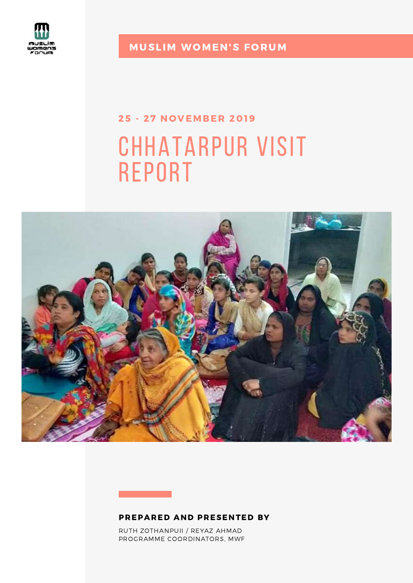

**MUSLIM WOMEN'S FORUM** 

# chhatarpur visit report 25 - 27 NOVEMBER 2019



#### PREPARED AND PRESENTED BY

RUTH ZOTHANPUII / REYAZ AHMAD PROGRAMME COORDINATORS, MWF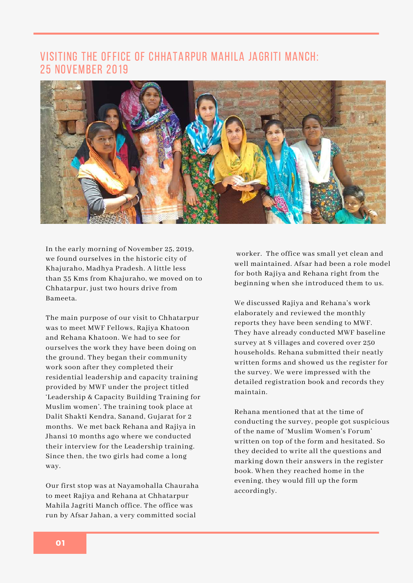# visiting the office of chhatarpur mahila jagriti Manch: 25 November 2019



In the early morning of November 25, 2019, we found ourselves in the historic city of Khajuraho, Madhya Pradesh. A little less than 35 Kms from Khajuraho, we moved on to Chhatarpur, just two hours drive from Bameeta.

The main purpose of our visit to Chhatarpur was to meet MWF Fellows, Rajiya Khatoon and Rehana Khatoon. We had to see for ourselves the work they have been doing on the ground. They began their community work soon after they completed their residential leadership and capacity training provided by MWF under the project titled 'Leadership & Capacity Building Training for Muslim women'. The training took place at Dalit Shakti Kendra, Sanand, Gujarat for 2 months. We met back Rehana and Rajiya in Jhansi 10 months ago where we conducted their interview for the Leadership training. Since then, the two girls had come a long way.

Our first stop was at Nayamohalla Chauraha to meet Rajiya and Rehana at Chhatarpur Mahila Jagriti Manch office. The office was run by Afsar Jahan, a very committed social

worker. The office was small yet clean and well maintained. Afsar had been a role model for both Rajiya and Rehana right from the beginning when she introduced them to us.

We discussed Rajiya and Rehana's work elaborately and reviewed the monthly reports they have been sending to MWF. They have already conducted MWF baseline survey at 8 villages and covered over 250 households. Rehana submitted their neatly written forms and showed us the register for the survey. We were impressed with the detailed registration book and records they maintain.

Rehana mentioned that at the time of conducting the survey, people got suspicious of the name of 'Muslim Women's Forum' written on top of the form and hesitated. So they decided to write all the questions and marking down their answers in the register book. When they reached home in the evening, they would fill up the form accordingly.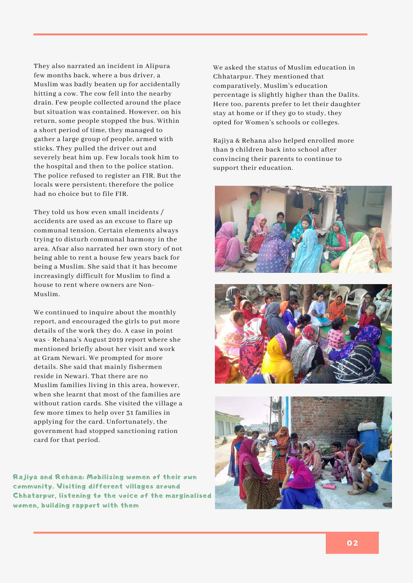They also narrated an incident in Alipura few months back, where a bus driver, a Muslim was badly beaten up for accidentally hitting a cow. The cow fell into the nearby drain. Few people collected around the place but situation was contained. However, on his return, some people stopped the bus. Within a short period of time, they managed to gather a large group of people, armed with sticks. They pulled the driver out and severely beat him up. Few locals took him to the hospital and then to the police station. The police refused to register an FIR. But the locals were persistent; therefore the police had no choice but to file FIR.

They told us how even small incidents / accidents are used as an excuse to flare up communal tension. Certain elements always trying to disturb communal harmony in the area. Afsar also narrated her own story of not being able to rent a house few years back for being a Muslim. She said that it has become increasingly difficult for Muslim to find a house to rent where owners are Non-Muslim.

We continued to inquire about the monthly report, and encouraged the girls to put more details of the work they do. A case in point was - Rehana's August 2019 report where she mentioned briefly about her visit and work at Gram Newari. We prompted for more details. She said that mainly fishermen reside in Newari. That there are no Muslim families living in this area, however, when she learnt that most of the families are without ration cards. She visited the village a few more times to help over 31 families in applying for the card. Unfortunately, the government had stopped sanctioning ration card for that period.

Rajiya and Rehana: Mobilizing women of their own community. Visiting different villages around Chhatarpur, listening to the voice of the marginalised women, building rapport with them

We asked the status of Muslim education in Chhatarpur. They mentioned that comparatively, Muslim's education percentage is slightly higher than the Dalits. Here too, parents prefer to let their daughter stay at home or if they go to study, they opted for Women's schools or colleges.

Rajiya & Rehana also helped enrolled more than 9 children back into school after convincing their parents to continue to support their education.





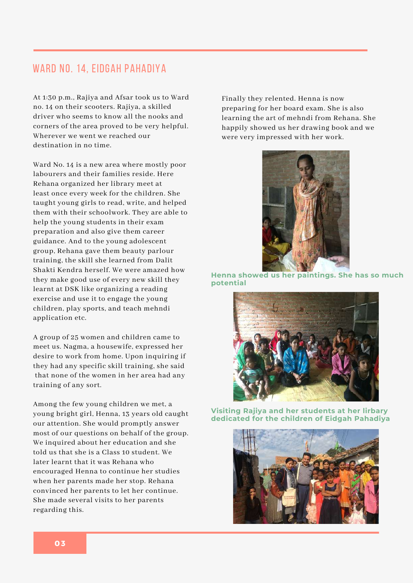#### WARD NO. 14, EIDGAH PAHADIYA

At 1:30 p.m., Rajiya and Afsar took us to Ward no. 14 on their scooters. Rajiya, a skilled driver who seems to know all the nooks and corners of the area proved to be very helpful. Wherever we went we reached our destination in no time.

Ward No. 14 is a new area where mostly poor labourers and their families reside. Here Rehana organized her library meet at least once every week for the children. She taught young girls to read, write, and helped them with their schoolwork. They are able to help the young students in their exam preparation and also give them career guidance. And to the young adolescent group, Rehana gave them beauty parlour training, the skill she learned from Dalit Shakti Kendra herself. We were amazed how they make good use of every new skill they learnt at DSK like organizing a reading exercise and use it to engage the young children, play sports, and teach mehndi application etc.

A group of 25 women and children came to meet us. Nagma, a housewife, expressed her desire to work from home. Upon inquiring if they had any specific skill training, she said that none of the women in her area had any training of any sort.

Among the few young children we met, a young bright girl, Henna, 13 years old caught our attention. She would promptly answer most of our questions on behalf of the group. We inquired about her education and she told us that she is a Class 10 student. We later learnt that it was Rehana who encouraged Henna to continue her studies when her parents made her stop. Rehana convinced her parents to let her continue. She made several visits to her parents regarding this.

Finally they relented. Henna is now preparing for her board exam. She is also learning the art of mehndi from Rehana. She happily showed us her drawing book and we were very impressed with her work.



**Henna showed us her paintings. She has so much potential**



**Visiting Rajiya and her students at her lirbary dedicated for the children of Eidgah Pahadiya**

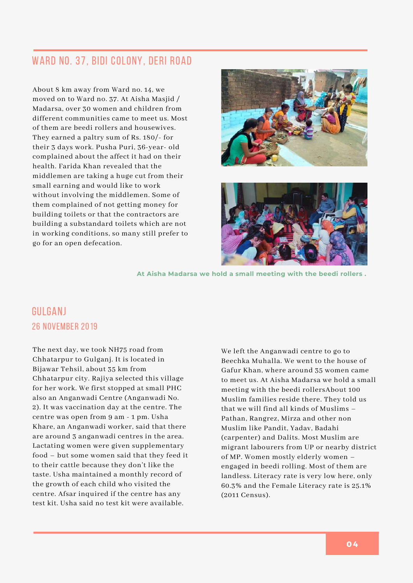# WARD NO. 37, BIDI COLONY, DERI ROAD

About 8 km away from Ward no. 14, we moved on to Ward no. 37. At Aisha Masjid / Madarsa, over 30 women and children from different communities came to meet us. Most of them are beedi rollers and housewives. They earned a paltry sum of Rs. 180/- for their 3 days work. Pusha Puri, 36-year- old complained about the affect it had on their health. Farida Khan revealed that the middlemen are taking a huge cut from their small earning and would like to work without involving the middlemen. Some of them complained of not getting money for building toilets or that the contractors are building a substandard toilets which are not in working conditions, so many still prefer to go for an open defecation.





**At Aisha Madarsa we hold a small meeting with the beedi rollers .**

# Gulganj 26 November 2019

The next day, we took NH75 road from Chhatarpur to Gulganj. It is located in Bijawar Tehsil, about 35 km from Chhatarpur city. Rajiya selected this village for her work. We first stopped at small PHC also an Anganwadi Centre (Anganwadi No. 2). It was vaccination day at the centre. The centre was open from 9 am - 1 pm. Usha Khare, an Anganwadi worker, said that there are around 3 anganwadi centres in the area. Lactating women were given supplementary food – but some women said that they feed it to their cattle because they don't like the taste. Usha maintained a monthly record of the growth of each child who visited the centre. Afsar inquired if the centre has any test kit. Usha said no test kit were available.

We left the Anganwadi centre to go to Beechka Muhalla. We went to the house of Gafur Khan, where around 35 women came to meet us. At Aisha Madarsa we hold a small meeting with the beedi rollersAbout 100 Muslim families reside there. They told us that we will find all kinds of Muslims – Pathan, Rangrez, Mirza and other non Muslim like Pandit, Yadav, Badahi (carpenter) and Dalits. Most Muslim are migrant labourers from UP or nearby district of MP. Women mostly elderly women – engaged in beedi rolling. Most of them are landless. Literacy rate is very low here, only 60.3% and the Female Literacy rate is 25.1% (2011 Census).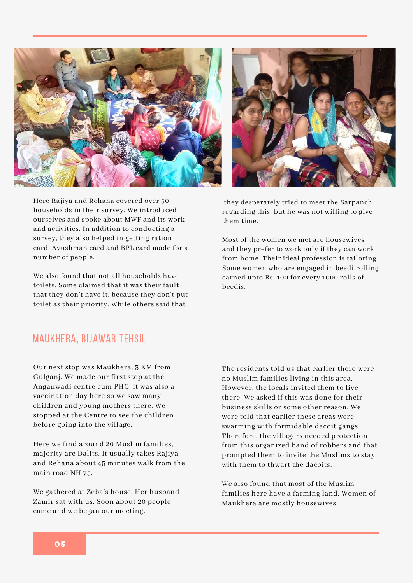

Here Rajiya and Rehana covered over 50 households in their survey. We introduced ourselves and spoke about MWF and its work and activities. In addition to conducting a survey, they also helped in getting ration card, Ayushman card and BPL card made for a number of people.

We also found that not all households have toilets. Some claimed that it was their fault that they don't have it, because they don't put toilet as their priority. While others said that



they desperately tried to meet the Sarpanch regarding this, but he was not willing to give them time.

Most of the women we met are housewives and they prefer to work only if they can work from home. Their ideal profession is tailoring. Some women who are engaged in beedi rolling earned upto Rs. 100 for every 1000 rolls of beedis.

#### Maukhera, Bijawar Tehsil

Our next stop was Maukhera, 3 KM from Gulganj. We made our first stop at the Anganwadi centre cum PHC, it was also a vaccination day here so we saw many children and young mothers there. We stopped at the Centre to see the children before going into the village.

Here we find around 20 Muslim families, majority are Dalits. It usually takes Rajiya and Rehana about 45 minutes walk from the main road NH 75.

We gathered at Zeba's house. Her husband Zamir sat with us. Soon about 20 people came and we began our meeting.

The residents told us that earlier there were no Muslim families living in this area. However, the locals invited them to live there. We asked if this was done for their business skills or some other reason. We were told that earlier these areas were swarming with formidable dacoit gangs. Therefore, the villagers needed protection from this organized band of robbers and that prompted them to invite the Muslims to stay with them to thwart the dacoits.

We also found that most of the Muslim families here have a farming land. Women of Maukhera are mostly housewives.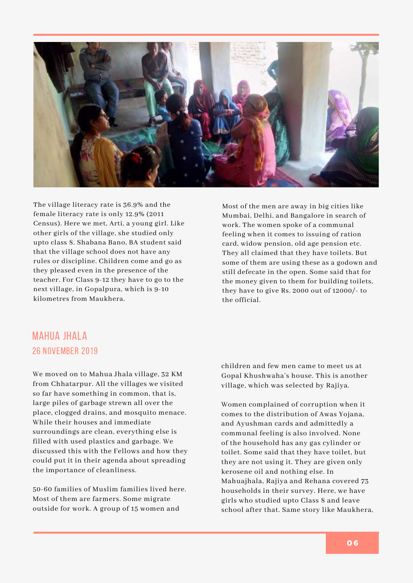

The village literacy rate is 36.9% and the female literacy rate is only 12.9% (2011 Census). Here we met, Arti, a young girl. Like other girls of the village, she studied only upto class 8. Shabana Bano, BA student said that the village school does not have any rules or discipline. Children come and go as they pleased even in the presence of the teacher. For Class 9-12 they have to go to the next village, in Gopalpura, which is 9-10 kilometres from Maukhera.

Most of the men are away in big cities like Mumbai, Delhi, and Bangalore in search of work. The women spoke of a communal feeling when it comes to issuing of ration card, widow pension, old age pension etc. They all claimed that they have toilets. But some of them are using these as a godown and still defecate in the open. Some said that for the money given to them for building toilets, they have to give Rs. 2000 out of 12000/- to the official.

# Mahua Jhala 26 November 2019

We moved on to Mahua Jhala village, 32 KM from Chhatarpur. All the villages we visited so far have something in common, that is, large piles of garbage strewn all over the place, clogged drains, and mosquito menace. While their houses and immediate surroundings are clean, everything else is filled with used plastics and garbage. We discussed this with the Fellows and how they could put it in their agenda about spreading the importance of cleanliness.

50-60 families of Muslim families lived here. Most of them are farmers. Some migrate outside for work. A group of 15 women and

children and few men came to meet us at Gopal Khushwaha's house. This is another village, which was selected by Rajiya.

Women complained of corruption when it comes to the distribution of Awas Yojana, and Ayushman cards and admittedly a communal feeling is also involved. None of the household has any gas cylinder or toilet. Some said that they have toilet, but they are not using it. They are given only kerosene oil and nothing else. In Mahuajhala, Rajiya and Rehana covered 73 households in their survey. Here, we have girls who studied upto Class 8 and leave school after that. Same story like Maukhera,